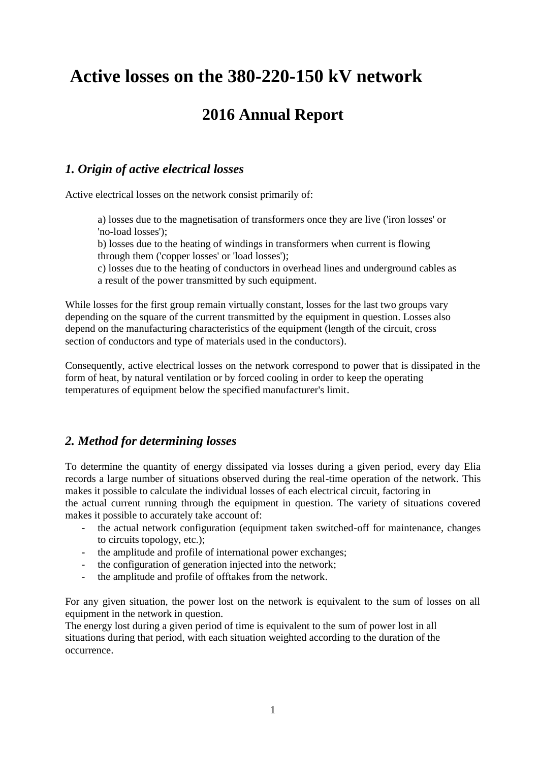# **Active losses on the 380-220-150 kV network**

# **2016 Annual Report**

# *1. Origin of active electrical losses*

Active electrical losses on the network consist primarily of:

a) losses due to the magnetisation of transformers once they are live ('iron losses' or 'no-load losses');

b) losses due to the heating of windings in transformers when current is flowing through them ('copper losses' or 'load losses');

c) losses due to the heating of conductors in overhead lines and underground cables as a result of the power transmitted by such equipment.

While losses for the first group remain virtually constant, losses for the last two groups vary depending on the square of the current transmitted by the equipment in question. Losses also depend on the manufacturing characteristics of the equipment (length of the circuit, cross section of conductors and type of materials used in the conductors).

Consequently, active electrical losses on the network correspond to power that is dissipated in the form of heat, by natural ventilation or by forced cooling in order to keep the operating temperatures of equipment below the specified manufacturer's limit.

# *2. Method for determining losses*

To determine the quantity of energy dissipated via losses during a given period, every day Elia records a large number of situations observed during the real-time operation of the network. This makes it possible to calculate the individual losses of each electrical circuit, factoring in

the actual current running through the equipment in question. The variety of situations covered makes it possible to accurately take account of:

- the actual network configuration (equipment taken switched-off for maintenance, changes to circuits topology, etc.);
- the amplitude and profile of international power exchanges;
- the configuration of generation injected into the network;
- the amplitude and profile of offtakes from the network.

For any given situation, the power lost on the network is equivalent to the sum of losses on all equipment in the network in question.

The energy lost during a given period of time is equivalent to the sum of power lost in all situations during that period, with each situation weighted according to the duration of the occurrence.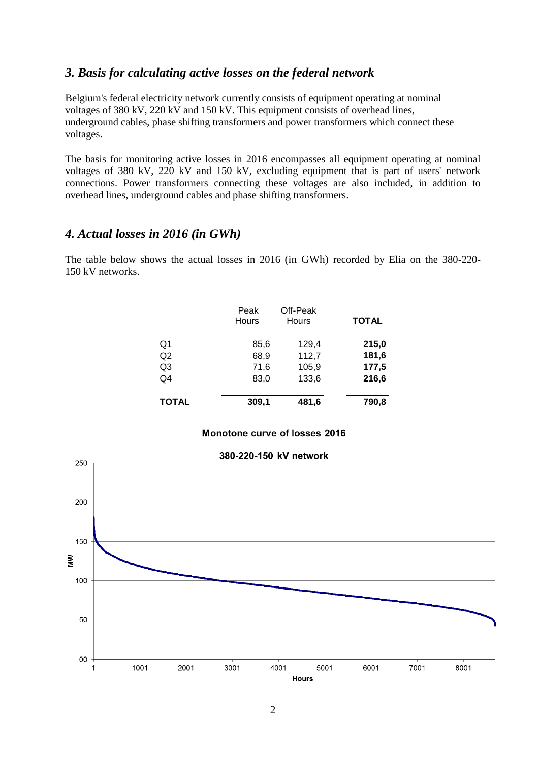#### *3. Basis for calculating active losses on the federal network*

Belgium's federal electricity network currently consists of equipment operating at nominal voltages of 380 kV, 220 kV and 150 kV. This equipment consists of overhead lines, underground cables, phase shifting transformers and power transformers which connect these voltages.

The basis for monitoring active losses in 2016 encompasses all equipment operating at nominal voltages of 380 kV, 220 kV and 150 kV, excluding equipment that is part of users' network connections. Power transformers connecting these voltages are also included, in addition to overhead lines, underground cables and phase shifting transformers.

#### *4. Actual losses in 2016 (in GWh)*

The table below shows the actual losses in 2016 (in GWh) recorded by Elia on the 380-220- 150 kV networks.

|                | Peak<br><b>Hours</b> | Off-Peak<br>Hours | <b>TOTAL</b> |
|----------------|----------------------|-------------------|--------------|
| Q1             | 85,6                 | 129,4             | 215,0        |
| Q <sub>2</sub> | 68,9                 | 112,7             | 181,6        |
| Q3             | 71,6                 | 105,9             | 177,5        |
| Q4             | 83,0                 | 133,6             | 216,6        |
| TOTAL          | 309,1                | 481,6             | 790,8        |

Monotone curve of losses 2016

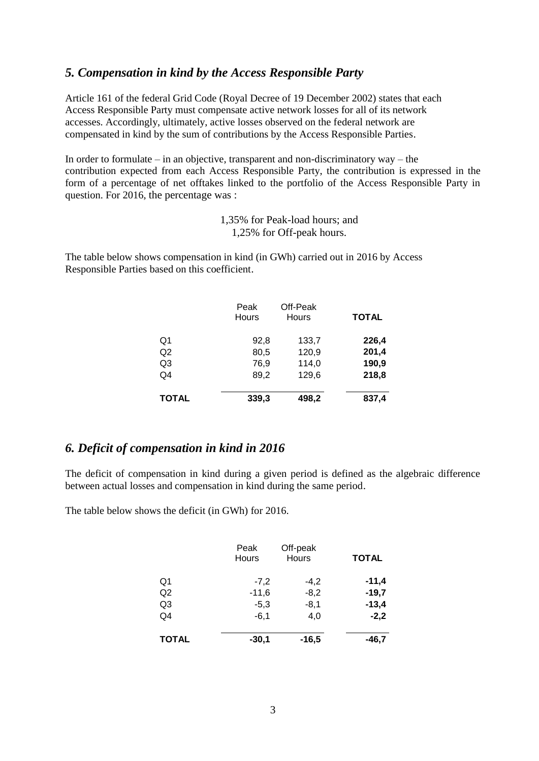### *5. Compensation in kind by the Access Responsible Party*

Article 161 of the federal Grid Code (Royal Decree of 19 December 2002) states that each Access Responsible Party must compensate active network losses for all of its network accesses. Accordingly, ultimately, active losses observed on the federal network are compensated in kind by the sum of contributions by the Access Responsible Parties.

In order to formulate – in an objective, transparent and non-discriminatory  $way - the$ contribution expected from each Access Responsible Party, the contribution is expressed in the form of a percentage of net offtakes linked to the portfolio of the Access Responsible Party in question. For 2016, the percentage was :

> 1,35% for Peak-load hours; and 1,25% for Off-peak hours.

The table below shows compensation in kind (in GWh) carried out in 2016 by Access Responsible Parties based on this coefficient.

|                | Peak<br>Hours | Off-Peak<br>Hours | <b>TOTAL</b> |
|----------------|---------------|-------------------|--------------|
| Q1             | 92,8          | 133,7             | 226,4        |
| Q2             | 80,5          | 120,9             | 201,4        |
| Q3             | 76,9          | 114,0             | 190,9        |
| Q <sub>4</sub> | 89,2          | 129,6             | 218,8        |
| <b>TOTAL</b>   | 339,3         | 498,2             | 837,4        |

#### *6. Deficit of compensation in kind in 2016*

The deficit of compensation in kind during a given period is defined as the algebraic difference between actual losses and compensation in kind during the same period.

The table below shows the deficit (in GWh) for 2016.

|                | Peak<br>Hours | Off-peak<br><b>Hours</b> | <b>TOTAL</b> |
|----------------|---------------|--------------------------|--------------|
| Q <sub>1</sub> | $-7,2$        | $-4,2$                   | $-11,4$      |
| Q2             | $-11,6$       | $-8,2$                   | $-19,7$      |
| Q <sub>3</sub> | $-5,3$        | $-8,1$                   | $-13,4$      |
| Q4             | $-6,1$        | 4,0                      | $-2,2$       |
| <b>TOTAL</b>   | $-30,1$       | $-16,5$                  | $-46,7$      |